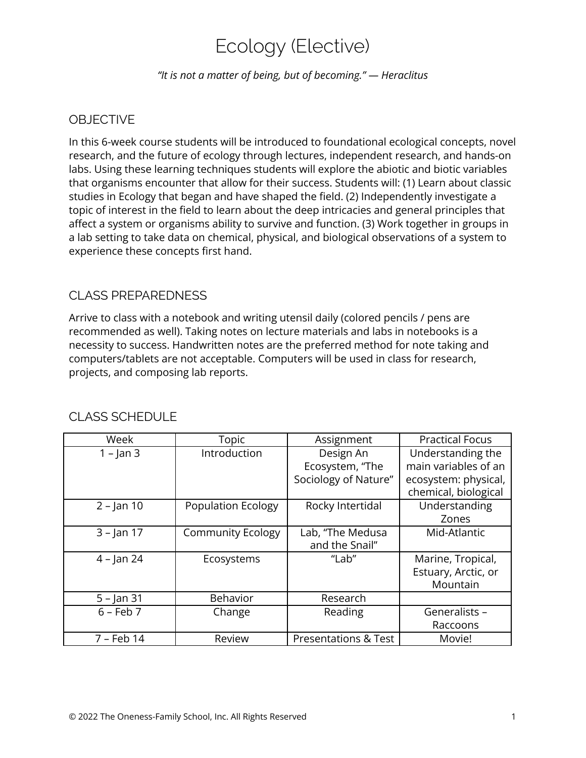# Ecology (Elective)

*"It is not a matter of being, but of becoming." — Heraclitus*

## **OBJECTIVE**

In this 6-week course students will be introduced to foundational ecological concepts, novel research, and the future of ecology through lectures, independent research, and hands-on labs. Using these learning techniques students will explore the abiotic and biotic variables that organisms encounter that allow for their success. Students will: (1) Learn about classic studies in Ecology that began and have shaped the field. (2) Independently investigate a topic of interest in the field to learn about the deep intricacies and general principles that affect a system or organisms ability to survive and function. (3) Work together in groups in a lab setting to take data on chemical, physical, and biological observations of a system to experience these concepts first hand.

#### CLASS PREPAREDNESS

Arrive to class with a notebook and writing utensil daily (colored pencils / pens are recommended as well). Taking notes on lecture materials and labs in notebooks is a necessity to success. Handwritten notes are the preferred method for note taking and computers/tablets are not acceptable. Computers will be used in class for research, projects, and composing lab reports.

| Week          | Topic                     | Assignment                      | <b>Practical Focus</b> |
|---------------|---------------------------|---------------------------------|------------------------|
| $1 - \tan 3$  | Introduction              | Design An                       | Understanding the      |
|               |                           | Ecosystem, "The                 | main variables of an   |
|               |                           | Sociology of Nature"            | ecosystem: physical,   |
|               |                           |                                 | chemical, biological   |
| $2 - \tan 10$ | <b>Population Ecology</b> | Rocky Intertidal                | Understanding          |
|               |                           |                                 | Zones                  |
| $3 - Jan 17$  | <b>Community Ecology</b>  | Lab, "The Medusa                | Mid-Atlantic           |
|               |                           | and the Snail"                  |                        |
| $4 - \tan 24$ | Ecosystems                | "Lab"                           | Marine, Tropical,      |
|               |                           |                                 | Estuary, Arctic, or    |
|               |                           |                                 | Mountain               |
| $5 -$ Jan 31  | <b>Behavior</b>           | Research                        |                        |
| $6 - Feb 7$   | Change                    | Reading                         | Generalists -          |
|               |                           |                                 | Raccoons               |
| 7 - Feb 14    | Review                    | <b>Presentations &amp; Test</b> | Movie!                 |

#### CLASS SCHEDULE